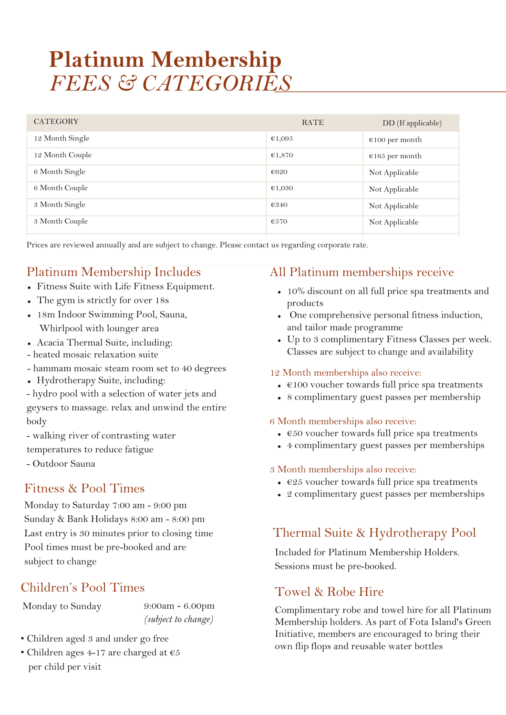# *FEES & CATEGORIES* **Platinum Membership**

| <b>CATEGORY</b> | <b>RATE</b> | DD (If applicable) |
|-----------------|-------------|--------------------|
| 12 Month Single | €1,095      | €100 per month     |
| 12 Month Couple | €1,870      | €165 per month     |
| 6 Month Single  | €620        | Not Applicable     |
| 6 Month Couple  | €1,030      | Not Applicable     |
| 3 Month Single  | €340        | Not Applicable     |
| 3 Month Couple  | €570        | Not Applicable     |

Prices are reviewed annually and are subject to change. Please contact us regarding corporate rate.

# Platinum Membership Includes

- Fitness Suite with Life Fitness Equipment.
- The gym is strictly for over 18s
- 18m Indoor Swimming Pool, Sauna, Whirlpool with lounger area
- Acacia Thermal Suite, including:
- heated mosaic relaxation suite
- hammam mosaic steam room set to 40 degrees
- Hydrotherapy Suite, including:
- hydro pool with a selection of water jets and geysers to massage. relax and unwind the entire body
- walking river of contrasting water
- temperatures to reduce fatigue
- Outdoor Sauna

# Fitness & Pool Times

Monday to Saturday 7:00 am - 9:00 pm Sunday & Bank Holidays 8:00 am - 8:00 pm Last entry is 30 minutes prior to closing time Pool times must be pre-booked and are subject to change

# Children's Pool Times

9:00am - 6.00pm *(subject to change)*

- Children aged 3 and under go free
- Children ages 4-17 are charged at €5 per child per visit

# All Platinum memberships receive

- 10% discount on all full price spa treatments and products
- One comprehensive personal fitness induction, and tailor made programme
- Up to 3 complimentary Fitness Classes per week. Classes are subject to change and availability

### 12 Month memberships also receive:

- $\cdot$   $\in$  100 voucher towards full price spa treatments
- 8 complimentary guest passes per membership

### 6 Month memberships also receive:

- $\cdot$   $\in$  50 voucher towards full price spa treatments
- 4 complimentary guest passes per memberships

### 3 Month memberships also receive:

- $\cdot$   $\in$  25 voucher towards full price spa treatments
- 2 complimentary guest passes per memberships

# Thermal Suite & Hydrotherapy Pool

Included for Platinum Membership Holders. Sessions must be pre-booked.

# Towel & Robe Hire

Monday to Sunday 9:00am - 6.00pm Complimentary robe and towel hire for all Platinum Membership holders. As part of Fota Island's Green Initiative, members are encouraged to bring their own flip flops and reusable water bottles